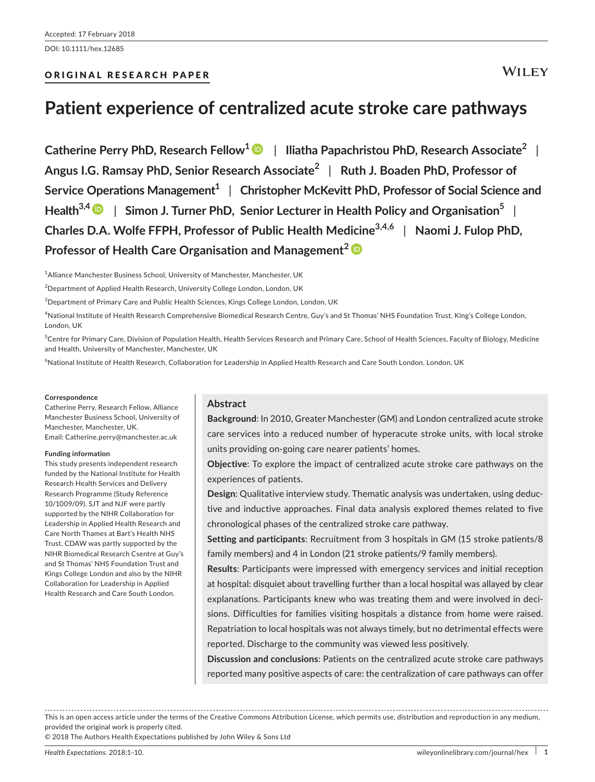DOI: 10.1111/hex.12685

# ORIGINAL RESEARCH PAPER

# **Patient experience of centralized acute stroke care pathways**

**Catherine Perry PhD, Research Fellow[1](http://orcid.org/0000-0002-8496-6923)** | **Iliatha Papachristou PhD, Research Associate<sup>2</sup>** | **Angus I.G. Ramsay PhD, Senior Research Associate<sup>2</sup>** | **Ruth J. Boaden PhD, Professor of Service Operations Management<sup>1</sup>** | **Christopher McKevitt PhD, Professor of Social Science and Health3,[4](http://orcid.org/0000-0002-5290-4613)** | **Simon J. Turner PhD, Senior Lecturer in Health Policy and Organisation<sup>5</sup>** | **Charles D.A. Wolfe FFPH, Professor of Public Health Medicine3,4,6** | **Naomi J. Fulop PhD, Professor of Health Care Organisation and Management[2](http://orcid.org/0000-0001-5306-6140)**

 $^{\rm 1}$ Alliance Manchester Business School, University of Manchester, Manchester, UK

 $^2$ Department of Applied Health Research, University College London, London, UK

 $^3$ Department of Primary Care and Public Health Sciences, Kings College London, London, UK

4 National Institute of Health Research Comprehensive Biomedical Research Centre, Guy's and St Thomas' NHS Foundation Trust, King's College London, London, UK

 $^5$ Centre for Primary Care, Division of Population Health, Health Services Research and Primary Care, School of Health Sciences, Faculty of Biology, Medicine and Health, University of Manchester, Manchester, UK

<sup>6</sup>National Institute of Health Research, Collaboration for Leadership in Applied Health Research and Care South London, London, UK

#### **Correspondence**

Catherine Perry, Research Fellow, Alliance Manchester Business School, University of Manchester, Manchester, UK. Email: [Catherine.perry@manchester.ac.uk](mailto:Catherine.perry@manchester.ac.uk)

#### **Funding information**

This study presents independent research funded by the National Institute for Health Research Health Services and Delivery Research Programme (Study Reference 10/1009/09). SJT and NJF were partly supported by the NIHR Collaboration for Leadership in Applied Health Research and Care North Thames at Bart's Health NHS Trust. CDAW was partly supported by the NIHR Biomedical Research Csentre at Guy's and St Thomas' NHS Foundation Trust and Kings College London and also by the NIHR Collaboration for Leadership in Applied Health Research and Care South London.

# **Abstract**

**Background**: In 2010, Greater Manchester (GM) and London centralized acute stroke care services into a reduced number of hyperacute stroke units, with local stroke units providing on-going care nearer patients' homes.

**Objective**: To explore the impact of centralized acute stroke care pathways on the experiences of patients.

**Design**: Qualitative interview study. Thematic analysis was undertaken, using deductive and inductive approaches. Final data analysis explored themes related to five chronological phases of the centralized stroke care pathway.

**Setting and participants**: Recruitment from 3 hospitals in GM (15 stroke patients/8 family members) and 4 in London (21 stroke patients/9 family members).

**Results**: Participants were impressed with emergency services and initial reception at hospital: disquiet about travelling further than a local hospital was allayed by clear explanations. Participants knew who was treating them and were involved in decisions. Difficulties for families visiting hospitals a distance from home were raised. Repatriation to local hospitals was not always timely, but no detrimental effects were reported. Discharge to the community was viewed less positively.

**Discussion and conclusions**: Patients on the centralized acute stroke care pathways reported many positive aspects of care: the centralization of care pathways can offer

This is an open access article under the terms of the [Creative Commons Attribution](http://creativecommons.org/licenses/by/4.0/) License, which permits use, distribution and reproduction in any medium, provided the original work is properly cited.

© 2018 The Authors Health Expectations published by John Wiley & Sons Ltd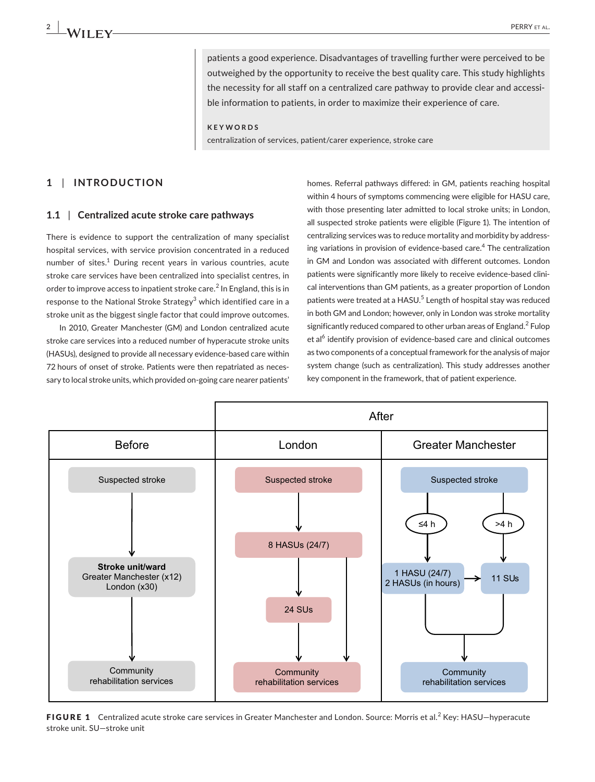patients a good experience. Disadvantages of travelling further were perceived to be outweighed by the opportunity to receive the best quality care. This study highlights the necessity for all staff on a centralized care pathway to provide clear and accessible information to patients, in order to maximize their experience of care.

#### **KEYWORDS**

centralization of services, patient/carer experience, stroke care

# **1** | **INTRODUCTION**

## **1.1** | **Centralized acute stroke care pathways**

There is evidence to support the centralization of many specialist hospital services, with service provision concentrated in a reduced number of sites.<sup>1</sup> During recent years in various countries, acute stroke care services have been centralized into specialist centres, in order to improve access to inpatient stroke care.<sup>2</sup> In England, this is in response to the National Stroke Strategy $^3$  which identified care in a stroke unit as the biggest single factor that could improve outcomes.

In 2010, Greater Manchester (GM) and London centralized acute stroke care services into a reduced number of hyperacute stroke units (HASUs), designed to provide all necessary evidence-based care within 72 hours of onset of stroke. Patients were then repatriated as necessary to local stroke units, which provided on-going care nearer patients'

homes. Referral pathways differed: in GM, patients reaching hospital within 4 hours of symptoms commencing were eligible for HASU care, with those presenting later admitted to local stroke units; in London, all suspected stroke patients were eligible (Figure 1). The intention of centralizing services was to reduce mortality and morbidity by addressing variations in provision of evidence-based care.<sup>4</sup> The centralization in GM and London was associated with different outcomes. London patients were significantly more likely to receive evidence-based clinical interventions than GM patients, as a greater proportion of London patients were treated at a HASU.<sup>5</sup> Length of hospital stay was reduced in both GM and London; however, only in London was stroke mortality significantly reduced compared to other urban areas of England.<sup>2</sup> Fulop et al<sup>6</sup> identify provision of evidence-based care and clinical outcomes as two components of a conceptual framework for the analysis of major system change (such as centralization). This study addresses another key component in the framework, that of patient experience.



FIGURE 1 Centralized acute stroke care services in Greater Manchester and London. Source: Morris et al.<sup>2</sup> Key: HASU—hyperacute stroke unit. SU—stroke unit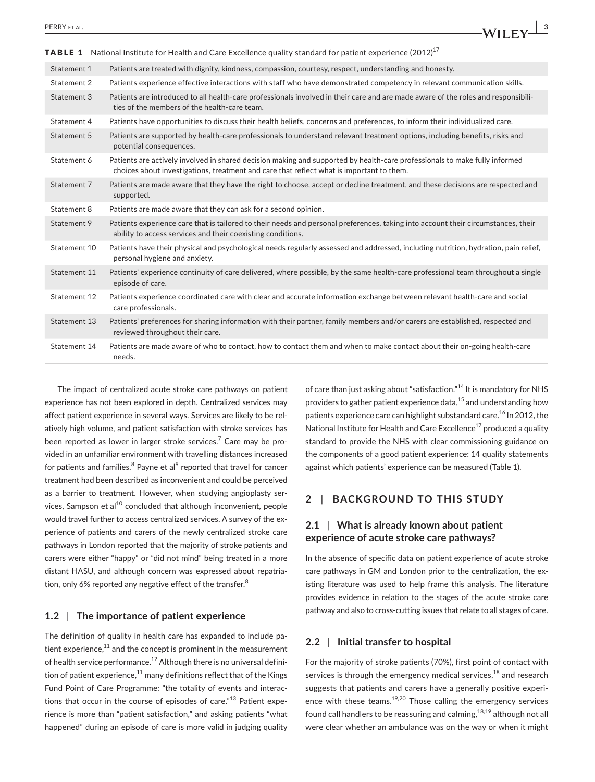TABLE 1 National Institute for Health and Care Excellence quality standard for patient experience (2012)<sup>17</sup> Statement 1 Patients are treated with dignity, kindness, compassion, courtesy, respect, understanding and honesty. Statement 2 Patients experience effective interactions with staff who have demonstrated competency in relevant communication skills. Statement 3 Patients are introduced to all health-care professionals involved in their care and are made aware of the roles and responsibilities of the members of the health-care team. Statement 4 Patients have opportunities to discuss their health beliefs, concerns and preferences, to inform their individualized care. Statement 5 Patients are supported by health-care professionals to understand relevant treatment options, including benefits, risks and potential consequences. Statement 6 Patients are actively involved in shared decision making and supported by health-care professionals to make fully informed choices about investigations, treatment and care that reflect what is important to them. Statement 7 Patients are made aware that they have the right to choose, accept or decline treatment, and these decisions are respected and supported. Statement 8 Patients are made aware that they can ask for a second opinion. Statement 9 Patients experience care that is tailored to their needs and personal preferences, taking into account their circumstances, their ability to access services and their coexisting conditions. Statement 10 Patients have their physical and psychological needs regularly assessed and addressed, including nutrition, hydration, pain relief, personal hygiene and anxiety. Statement 11 Patients' experience continuity of care delivered, where possible, by the same health-care professional team throughout a single episode of care. Statement 12 Patients experience coordinated care with clear and accurate information exchange between relevant health-care and social care professionals. Statement 13 Patients' preferences for sharing information with their partner, family members and/or carers are established, respected and reviewed throughout their care.

Statement 14 Patients are made aware of who to contact, how to contact them and when to make contact about their on-going health-care needs.

The impact of centralized acute stroke care pathways on patient experience has not been explored in depth. Centralized services may affect patient experience in several ways. Services are likely to be relatively high volume, and patient satisfaction with stroke services has been reported as lower in larger stroke services.<sup>7</sup> Care may be provided in an unfamiliar environment with travelling distances increased for patients and families.<sup>8</sup> Payne et al<sup>9</sup> reported that travel for cancer treatment had been described as inconvenient and could be perceived as a barrier to treatment. However, when studying angioplasty services, Sampson et al $^{10}$  concluded that although inconvenient, people would travel further to access centralized services. A survey of the experience of patients and carers of the newly centralized stroke care pathways in London reported that the majority of stroke patients and carers were either "happy" or "did not mind" being treated in a more distant HASU, and although concern was expressed about repatriation, only 6% reported any negative effect of the transfer.<sup>8</sup>

# **1.2** | **The importance of patient experience**

The definition of quality in health care has expanded to include patient experience, $^{11}$  and the concept is prominent in the measurement of health service performance.<sup>12</sup> Although there is no universal definition of patient experience, $^{11}$  many definitions reflect that of the Kings Fund Point of Care Programme: "the totality of events and interactions that occur in the course of episodes of care."<sup>13</sup> Patient experience is more than "patient satisfaction," and asking patients "what happened" during an episode of care is more valid in judging quality

of care than just asking about "satisfaction."<sup>14</sup> It is mandatory for NHS providers to gather patient experience data, $15$  and understanding how patients experience care can highlight substandard care.<sup>16</sup> In 2012, the National Institute for Health and Care Excellence<sup>17</sup> produced a quality standard to provide the NHS with clear commissioning guidance on the components of a good patient experience: 14 quality statements against which patients' experience can be measured (Table 1).

# **2** | **BACKGROUND TO THIS STUDY**

# **2.1** | **What is already known about patient experience of acute stroke care pathways?**

In the absence of specific data on patient experience of acute stroke care pathways in GM and London prior to the centralization, the existing literature was used to help frame this analysis. The literature provides evidence in relation to the stages of the acute stroke care pathway and also to cross-cutting issues that relate to all stages of care.

## **2.2** | **Initial transfer to hospital**

For the majority of stroke patients (70%), first point of contact with services is through the emergency medical services, $^{18}$  and research suggests that patients and carers have a generally positive experience with these teams. $19,20$  Those calling the emergency services found call handlers to be reassuring and calming,  $18,19$  although not all were clear whether an ambulance was on the way or when it might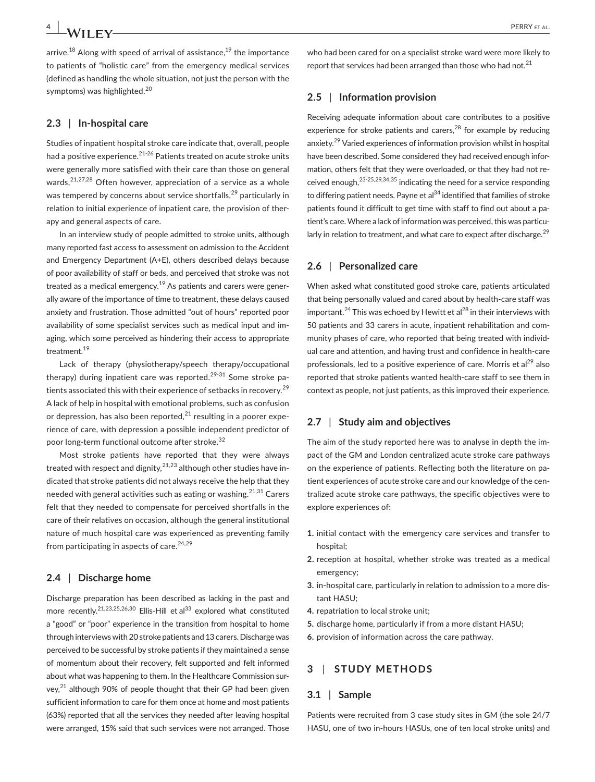arrive.<sup>18</sup> Along with speed of arrival of assistance.<sup>19</sup> the importance to patients of "holistic care" from the emergency medical services (defined as handling the whole situation, not just the person with the symptoms) was highlighted.<sup>20</sup>

#### **2.3** | **In-hospital care**

Studies of inpatient hospital stroke care indicate that, overall, people had a positive experience. $^{21\text{-}26}$  Patients treated on acute stroke units were generally more satisfied with their care than those on general wards,  $21,27,28$  Often however, appreciation of a service as a whole was tempered by concerns about service shortfalls, $29$  particularly in relation to initial experience of inpatient care, the provision of therapy and general aspects of care.

In an interview study of people admitted to stroke units, although many reported fast access to assessment on admission to the Accident and Emergency Department (A+E), others described delays because of poor availability of staff or beds, and perceived that stroke was not treated as a medical emergency.<sup>19</sup> As patients and carers were generally aware of the importance of time to treatment, these delays caused anxiety and frustration. Those admitted "out of hours" reported poor availability of some specialist services such as medical input and imaging, which some perceived as hindering their access to appropriate treatment.<sup>19</sup>

Lack of therapy (physiotherapy/speech therapy/occupational therapy) during inpatient care was reported.<sup>29-31</sup> Some stroke patients associated this with their experience of setbacks in recovery.<sup>29</sup> A lack of help in hospital with emotional problems, such as confusion or depression, has also been reported, $^{21}$  resulting in a poorer experience of care, with depression a possible independent predictor of poor long-term functional outcome after stroke.<sup>32</sup>

Most stroke patients have reported that they were always treated with respect and dignity,  $21,23$  although other studies have indicated that stroke patients did not always receive the help that they needed with general activities such as eating or washing.  $2^{1,31}$  Carers felt that they needed to compensate for perceived shortfalls in the care of their relatives on occasion, although the general institutional nature of much hospital care was experienced as preventing family from participating in aspects of care.  $24,29$ 

#### **2.4** | **Discharge home**

Discharge preparation has been described as lacking in the past and more recently.<sup>21,23,25,26,30</sup> Ellis-Hill et al<sup>33</sup> explored what constituted a "good" or "poor" experience in the transition from hospital to home through interviews with 20 stroke patients and 13 carers. Discharge was perceived to be successful by stroke patients if they maintained a sense of momentum about their recovery, felt supported and felt informed about what was happening to them. In the Healthcare Commission survey, $^{21}$  although 90% of people thought that their GP had been given sufficient information to care for them once at home and most patients (63%) reported that all the services they needed after leaving hospital were arranged, 15% said that such services were not arranged. Those who had been cared for on a specialist stroke ward were more likely to report that services had been arranged than those who had not. $^{21}$ 

#### **2.5** | **Information provision**

Receiving adequate information about care contributes to a positive experience for stroke patients and carers, $^{28}$  for example by reducing anxiety.<sup>29</sup> Varied experiences of information provision whilst in hospital have been described. Some considered they had received enough information, others felt that they were overloaded, or that they had not received enough,23-25,29,34,35 indicating the need for a service responding to differing patient needs. Payne et al<sup>34</sup> identified that families of stroke patients found it difficult to get time with staff to find out about a patient's care. Where a lack of information was perceived, this was particularly in relation to treatment, and what care to expect after discharge.<sup>29</sup>

## **2.6** | **Personalized care**

When asked what constituted good stroke care, patients articulated that being personally valued and cared about by health-care staff was important.<sup>24</sup> This was echoed by Hewitt et al<sup>28</sup> in their interviews with 50 patients and 33 carers in acute, inpatient rehabilitation and community phases of care, who reported that being treated with individual care and attention, and having trust and confidence in health-care professionals, led to a positive experience of care. Morris et al<sup>29</sup> also reported that stroke patients wanted health-care staff to see them in context as people, not just patients, as this improved their experience.

### **2.7** | **Study aim and objectives**

The aim of the study reported here was to analyse in depth the impact of the GM and London centralized acute stroke care pathways on the experience of patients. Reflecting both the literature on patient experiences of acute stroke care and our knowledge of the centralized acute stroke care pathways, the specific objectives were to explore experiences of:

- **1.** initial contact with the emergency care services and transfer to hospital;
- **2.** reception at hospital, whether stroke was treated as a medical emergency;
- **3.** in-hospital care, particularly in relation to admission to a more distant HASU;
- **4.** repatriation to local stroke unit;
- **5.** discharge home, particularly if from a more distant HASU;
- **6.** provision of information across the care pathway.

# **3** | **STUDY METHODS**

#### **3.1** | **Sample**

Patients were recruited from 3 case study sites in GM (the sole 24/7 HASU, one of two in-hours HASUs, one of ten local stroke units) and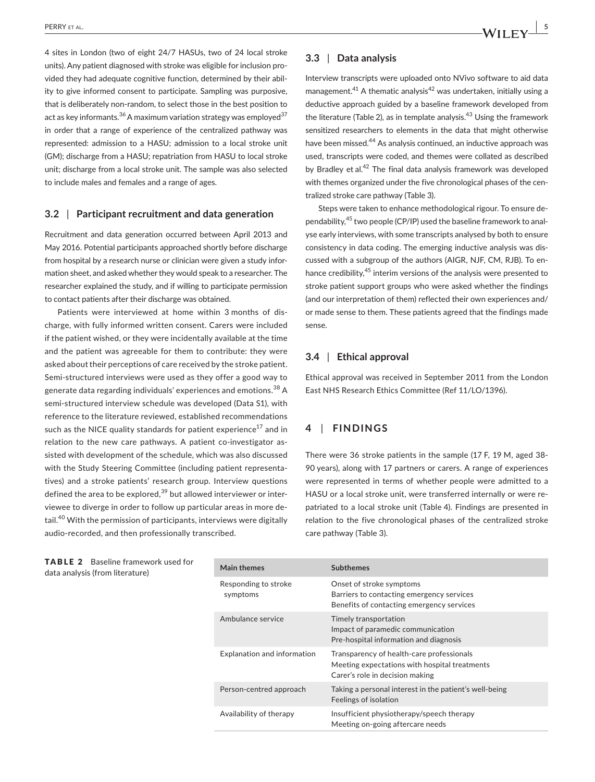4 sites in London (two of eight 24/7 HASUs, two of 24 local stroke units). Any patient diagnosed with stroke was eligible for inclusion provided they had adequate cognitive function, determined by their ability to give informed consent to participate. Sampling was purposive, that is deliberately non-random, to select those in the best position to act as key informants.<sup>36</sup> A maximum variation strategy was employed  $37$ in order that a range of experience of the centralized pathway was represented: admission to a HASU; admission to a local stroke unit (GM); discharge from a HASU; repatriation from HASU to local stroke unit; discharge from a local stroke unit. The sample was also selected to include males and females and a range of ages.

### **3.2** | **Participant recruitment and data generation**

Recruitment and data generation occurred between April 2013 and May 2016. Potential participants approached shortly before discharge from hospital by a research nurse or clinician were given a study information sheet, and asked whether they would speak to a researcher. The researcher explained the study, and if willing to participate permission to contact patients after their discharge was obtained.

Patients were interviewed at home within 3 months of discharge, with fully informed written consent. Carers were included if the patient wished, or they were incidentally available at the time and the patient was agreeable for them to contribute: they were asked about their perceptions of care received by the stroke patient. Semi-structured interviews were used as they offer a good way to generate data regarding individuals' experiences and emotions.<sup>38</sup> A semi-structured interview schedule was developed (Data S1), with reference to the literature reviewed, established recommendations such as the NICE quality standards for patient experience<sup>17</sup> and in relation to the new care pathways. A patient co-investigator assisted with development of the schedule, which was also discussed with the Study Steering Committee (including patient representatives) and a stroke patients' research group. Interview questions defined the area to be explored, $39$  but allowed interviewer or interviewee to diverge in order to follow up particular areas in more detail.<sup>40</sup> With the permission of participants, interviews were digitally audio-recorded, and then professionally transcribed.

TABLE 2 Baseline framework used for data analysis (from literature)

### **3.3** | **Data analysis**

Interview transcripts were uploaded onto NVivo software to aid data management.<sup>41</sup> A thematic analysis<sup>42</sup> was undertaken, initially using a deductive approach guided by a baseline framework developed from the literature (Table 2), as in template analysis.<sup>43</sup> Using the framework sensitized researchers to elements in the data that might otherwise have been missed.<sup>44</sup> As analysis continued, an inductive approach was used, transcripts were coded, and themes were collated as described by Bradley et al.<sup>42</sup> The final data analysis framework was developed with themes organized under the five chronological phases of the centralized stroke care pathway (Table 3).

Steps were taken to enhance methodological rigour. To ensure dependability,<sup>45</sup> two people (CP/IP) used the baseline framework to analyse early interviews, with some transcripts analysed by both to ensure consistency in data coding. The emerging inductive analysis was discussed with a subgroup of the authors (AIGR, NJF, CM, RJB). To enhance credibility,<sup>45</sup> interim versions of the analysis were presented to stroke patient support groups who were asked whether the findings (and our interpretation of them) reflected their own experiences and/ or made sense to them. These patients agreed that the findings made sense.

## **3.4** | **Ethical approval**

Ethical approval was received in September 2011 from the London East NHS Research Ethics Committee (Ref 11/LO/1396).

# **4** | **FINDINGS**

There were 36 stroke patients in the sample (17 F, 19 M, aged 38- 90 years), along with 17 partners or carers. A range of experiences were represented in terms of whether people were admitted to a HASU or a local stroke unit, were transferred internally or were repatriated to a local stroke unit (Table 4). Findings are presented in relation to the five chronological phases of the centralized stroke care pathway (Table 3).

| <b>Main themes</b>               | <b>Subthemes</b>                                                                                                              |
|----------------------------------|-------------------------------------------------------------------------------------------------------------------------------|
| Responding to stroke<br>symptoms | Onset of stroke symptoms<br>Barriers to contacting emergency services<br>Benefits of contacting emergency services            |
| Ambulance service                | Timely transportation<br>Impact of paramedic communication<br>Pre-hospital information and diagnosis                          |
| Explanation and information      | Transparency of health-care professionals<br>Meeting expectations with hospital treatments<br>Carer's role in decision making |
| Person-centred approach          | Taking a personal interest in the patient's well-being<br>Feelings of isolation                                               |
| Availability of therapy          | Insufficient physiotherapy/speech therapy<br>Meeting on-going aftercare needs                                                 |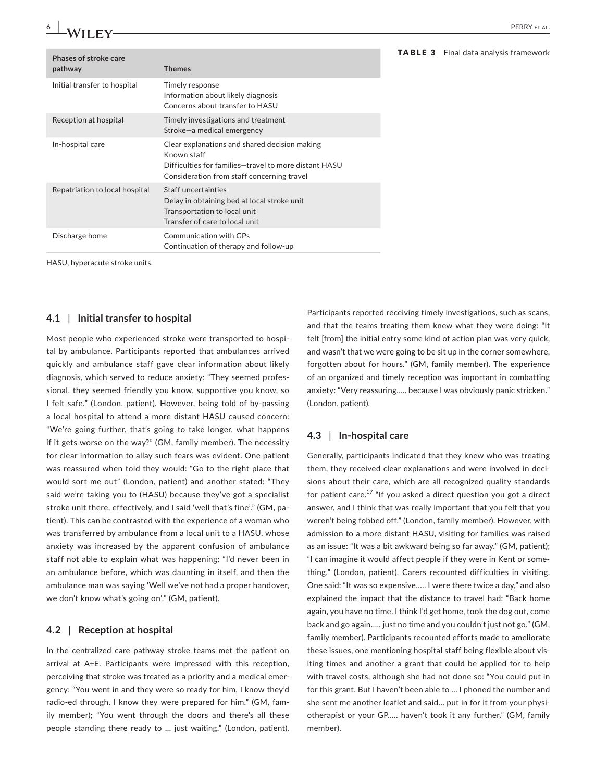TABLE 3 Final data analysis framework

# **6 |**  $\bf{M}$  *PERRY ET AL.*

| Phases of stroke care<br>pathway | <b>Themes</b>                                                                                                                                                       |
|----------------------------------|---------------------------------------------------------------------------------------------------------------------------------------------------------------------|
| Initial transfer to hospital     | Timely response<br>Information about likely diagnosis<br>Concerns about transfer to HASU                                                                            |
| Reception at hospital            | Timely investigations and treatment<br>Stroke-a medical emergency                                                                                                   |
| In-hospital care                 | Clear explanations and shared decision making<br>Known staff<br>Difficulties for families-travel to more distant HASU<br>Consideration from staff concerning travel |
| Repatriation to local hospital   | Staff uncertainties<br>Delay in obtaining bed at local stroke unit<br>Transportation to local unit<br>Transfer of care to local unit                                |
| Discharge home                   | Communication with GPs<br>Continuation of therapy and follow-up                                                                                                     |

HASU, hyperacute stroke units.

#### **4.1** | **Initial transfer to hospital**

Most people who experienced stroke were transported to hospital by ambulance. Participants reported that ambulances arrived quickly and ambulance staff gave clear information about likely diagnosis, which served to reduce anxiety: "They seemed professional, they seemed friendly you know, supportive you know, so I felt safe." (London, patient). However, being told of by-passing a local hospital to attend a more distant HASU caused concern: "We're going further, that's going to take longer, what happens if it gets worse on the way?" (GM, family member). The necessity for clear information to allay such fears was evident. One patient was reassured when told they would: "Go to the right place that would sort me out" (London, patient) and another stated: "They said we're taking you to (HASU) because they've got a specialist stroke unit there, effectively, and I said 'well that's fine'." (GM, patient). This can be contrasted with the experience of a woman who was transferred by ambulance from a local unit to a HASU, whose anxiety was increased by the apparent confusion of ambulance staff not able to explain what was happening: "I'd never been in an ambulance before, which was daunting in itself, and then the ambulance man was saying 'Well we've not had a proper handover, we don't know what's going on'." (GM, patient).

#### **4.2** | **Reception at hospital**

In the centralized care pathway stroke teams met the patient on arrival at A+E. Participants were impressed with this reception, perceiving that stroke was treated as a priority and a medical emergency: "You went in and they were so ready for him, I know they'd radio-ed through, I know they were prepared for him." (GM, family member); "You went through the doors and there's all these people standing there ready to … just waiting." (London, patient).

Participants reported receiving timely investigations, such as scans, and that the teams treating them knew what they were doing: "It felt [from] the initial entry some kind of action plan was very quick, and wasn't that we were going to be sit up in the corner somewhere, forgotten about for hours." (GM, family member). The experience of an organized and timely reception was important in combatting anxiety: "Very reassuring….. because I was obviously panic stricken." (London, patient).

## **4.3** | **In-hospital care**

Generally, participants indicated that they knew who was treating them, they received clear explanations and were involved in decisions about their care, which are all recognized quality standards for patient care. $17$  "If you asked a direct question you got a direct answer, and I think that was really important that you felt that you weren't being fobbed off." (London, family member). However, with admission to a more distant HASU, visiting for families was raised as an issue: "It was a bit awkward being so far away." (GM, patient); "I can imagine it would affect people if they were in Kent or something." (London, patient). Carers recounted difficulties in visiting. One said: "It was so expensive….. I were there twice a day," and also explained the impact that the distance to travel had: "Back home again, you have no time. I think I'd get home, took the dog out, come back and go again….. just no time and you couldn't just not go." (GM, family member). Participants recounted efforts made to ameliorate these issues, one mentioning hospital staff being flexible about visiting times and another a grant that could be applied for to help with travel costs, although she had not done so: "You could put in for this grant. But I haven't been able to … I phoned the number and she sent me another leaflet and said… put in for it from your physiotherapist or your GP….. haven't took it any further." (GM, family member).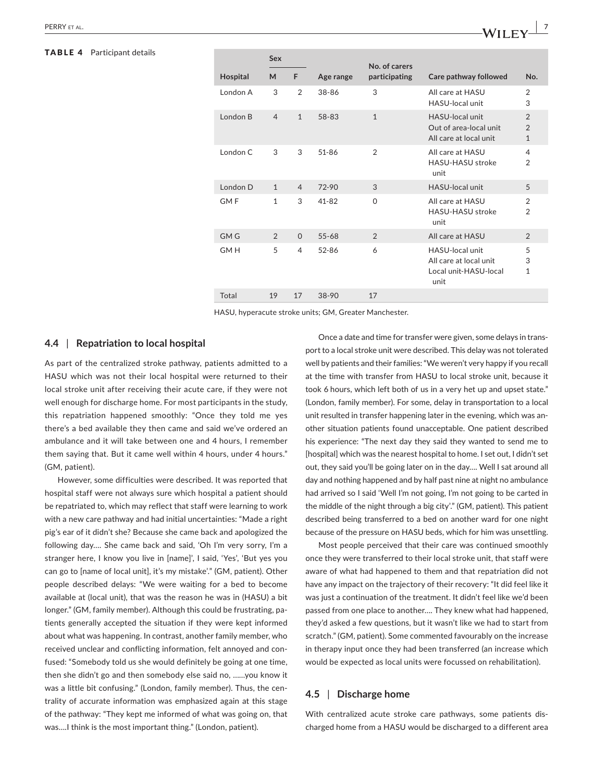#### TABLE 4 Participant details

|            | Sex            |                |           | No. of carers  |                                                                            |                                                  |
|------------|----------------|----------------|-----------|----------------|----------------------------------------------------------------------------|--------------------------------------------------|
| Hospital   | M              | F              | Age range | participating  | Care pathway followed                                                      | No.                                              |
| London A   | 3              | $\overline{2}$ | 38-86     | 3              | All care at HASU<br>HASU-local unit                                        | $\overline{2}$<br>3                              |
| London B   | $\overline{4}$ | $\mathbf{1}$   | 58-83     | $\mathbf{1}$   | <b>HASU-local unit</b><br>Out of area-local unit<br>All care at local unit | $\overline{2}$<br>$\overline{2}$<br>$\mathbf{1}$ |
| London C   | 3              | 3              | 51-86     | $\mathfrak{D}$ | All care at HASU<br><b>HASU-HASU stroke</b><br>unit                        | 4<br>$\overline{2}$                              |
| London D   | $\mathbf{1}$   | $\overline{4}$ | 72-90     | 3              | HASU-local unit                                                            | 5                                                |
| <b>GMF</b> | $\mathbf{1}$   | 3              | $41 - 82$ | $\Omega$       | All care at HASU<br><b>HASU-HASU stroke</b><br>unit                        | $\overline{2}$<br>$\overline{2}$                 |
| <b>GMG</b> | $\mathfrak{D}$ | $\Omega$       | $55 - 68$ | $\overline{2}$ | All care at HASU                                                           | $\overline{2}$                                   |
| GM H       | 5              | 4              | 52-86     | 6              | HASU-local unit<br>All care at local unit<br>Local unit-HASU-local<br>unit | 5<br>3<br>1                                      |
| Total      | 19             | 17             | 38-90     | 17             |                                                                            |                                                  |

HASU, hyperacute stroke units; GM, Greater Manchester.

#### **4.4** | **Repatriation to local hospital**

As part of the centralized stroke pathway, patients admitted to a HASU which was not their local hospital were returned to their local stroke unit after receiving their acute care, if they were not well enough for discharge home. For most participants in the study, this repatriation happened smoothly: "Once they told me yes there's a bed available they then came and said we've ordered an ambulance and it will take between one and 4 hours, I remember them saying that. But it came well within 4 hours, under 4 hours." (GM, patient).

However, some difficulties were described. It was reported that hospital staff were not always sure which hospital a patient should be repatriated to, which may reflect that staff were learning to work with a new care pathway and had initial uncertainties: "Made a right pig's ear of it didn't she? Because she came back and apologized the following day…. She came back and said, 'Oh I'm very sorry, I'm a stranger here, I know you live in [name]', I said, 'Yes', 'But yes you can go to [name of local unit], it's my mistake'." (GM, patient). Other people described delays: "We were waiting for a bed to become available at (local unit), that was the reason he was in (HASU) a bit longer." (GM, family member). Although this could be frustrating, patients generally accepted the situation if they were kept informed about what was happening. In contrast, another family member, who received unclear and conflicting information, felt annoyed and confused: "Somebody told us she would definitely be going at one time, then she didn't go and then somebody else said no, ……you know it was a little bit confusing." (London, family member). Thus, the centrality of accurate information was emphasized again at this stage of the pathway: "They kept me informed of what was going on, that was….I think is the most important thing." (London, patient).

Once a date and time for transfer were given, some delays in transport to a local stroke unit were described. This delay was not tolerated well by patients and their families: "We weren't very happy if you recall at the time with transfer from HASU to local stroke unit, because it took 6 hours, which left both of us in a very het up and upset state." (London, family member). For some, delay in transportation to a local unit resulted in transfer happening later in the evening, which was another situation patients found unacceptable. One patient described his experience: "The next day they said they wanted to send me to [hospital] which was the nearest hospital to home. I set out, I didn't set out, they said you'll be going later on in the day…. Well I sat around all day and nothing happened and by half past nine at night no ambulance had arrived so I said 'Well I'm not going, I'm not going to be carted in the middle of the night through a big city'." (GM, patient). This patient described being transferred to a bed on another ward for one night because of the pressure on HASU beds, which for him was unsettling.

Most people perceived that their care was continued smoothly once they were transferred to their local stroke unit, that staff were aware of what had happened to them and that repatriation did not have any impact on the trajectory of their recovery: "It did feel like it was just a continuation of the treatment. It didn't feel like we'd been passed from one place to another…. They knew what had happened, they'd asked a few questions, but it wasn't like we had to start from scratch." (GM, patient). Some commented favourably on the increase in therapy input once they had been transferred (an increase which would be expected as local units were focussed on rehabilitation).

## **4.5** | **Discharge home**

With centralized acute stroke care pathways, some patients discharged home from a HASU would be discharged to a different area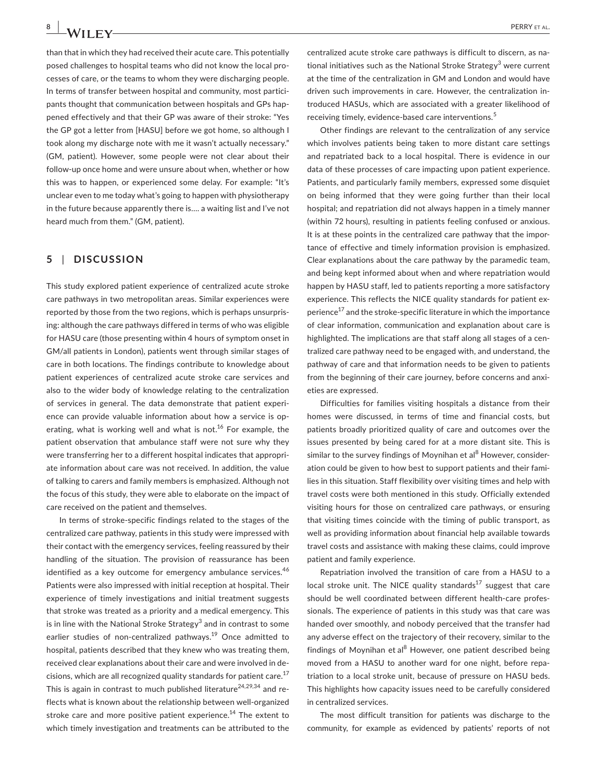than that in which they had received their acute care. This potentially posed challenges to hospital teams who did not know the local processes of care, or the teams to whom they were discharging people. In terms of transfer between hospital and community, most participants thought that communication between hospitals and GPs happened effectively and that their GP was aware of their stroke: "Yes the GP got a letter from [HASU] before we got home, so although I took along my discharge note with me it wasn't actually necessary." (GM, patient). However, some people were not clear about their follow-up once home and were unsure about when, whether or how this was to happen, or experienced some delay. For example: "It's unclear even to me today what's going to happen with physiotherapy in the future because apparently there is…. a waiting list and I've not heard much from them." (GM, patient).

## **5** | **DISCUSSION**

This study explored patient experience of centralized acute stroke care pathways in two metropolitan areas. Similar experiences were reported by those from the two regions, which is perhaps unsurprising: although the care pathways differed in terms of who was eligible for HASU care (those presenting within 4 hours of symptom onset in GM/all patients in London), patients went through similar stages of care in both locations. The findings contribute to knowledge about patient experiences of centralized acute stroke care services and also to the wider body of knowledge relating to the centralization of services in general. The data demonstrate that patient experience can provide valuable information about how a service is operating, what is working well and what is not.<sup>16</sup> For example, the patient observation that ambulance staff were not sure why they were transferring her to a different hospital indicates that appropriate information about care was not received. In addition, the value of talking to carers and family members is emphasized. Although not the focus of this study, they were able to elaborate on the impact of care received on the patient and themselves.

In terms of stroke-specific findings related to the stages of the centralized care pathway, patients in this study were impressed with their contact with the emergency services, feeling reassured by their handling of the situation. The provision of reassurance has been identified as a key outcome for emergency ambulance services.<sup>46</sup> Patients were also impressed with initial reception at hospital. Their experience of timely investigations and initial treatment suggests that stroke was treated as a priority and a medical emergency. This is in line with the National Stroke Strategy $^3$  and in contrast to some earlier studies of non-centralized pathways.<sup>19</sup> Once admitted to hospital, patients described that they knew who was treating them, received clear explanations about their care and were involved in decisions, which are all recognized quality standards for patient care.<sup>17</sup> This is again in contrast to much published literature<sup>24,29,34</sup> and reflects what is known about the relationship between well-organized stroke care and more positive patient experience.<sup>14</sup> The extent to which timely investigation and treatments can be attributed to the

centralized acute stroke care pathways is difficult to discern, as national initiatives such as the National Stroke Strategy $3$  were current at the time of the centralization in GM and London and would have driven such improvements in care. However, the centralization introduced HASUs, which are associated with a greater likelihood of receiving timely, evidence-based care interventions.<sup>5</sup>

Other findings are relevant to the centralization of any service which involves patients being taken to more distant care settings and repatriated back to a local hospital. There is evidence in our data of these processes of care impacting upon patient experience. Patients, and particularly family members, expressed some disquiet on being informed that they were going further than their local hospital; and repatriation did not always happen in a timely manner (within 72 hours), resulting in patients feeling confused or anxious. It is at these points in the centralized care pathway that the importance of effective and timely information provision is emphasized. Clear explanations about the care pathway by the paramedic team, and being kept informed about when and where repatriation would happen by HASU staff, led to patients reporting a more satisfactory experience. This reflects the NICE quality standards for patient experience<sup>17</sup> and the stroke-specific literature in which the importance of clear information, communication and explanation about care is highlighted. The implications are that staff along all stages of a centralized care pathway need to be engaged with, and understand, the pathway of care and that information needs to be given to patients from the beginning of their care journey, before concerns and anxieties are expressed.

Difficulties for families visiting hospitals a distance from their homes were discussed, in terms of time and financial costs, but patients broadly prioritized quality of care and outcomes over the issues presented by being cared for at a more distant site. This is similar to the survey findings of Moynihan et al<sup>8</sup> However, consideration could be given to how best to support patients and their families in this situation. Staff flexibility over visiting times and help with travel costs were both mentioned in this study. Officially extended visiting hours for those on centralized care pathways, or ensuring that visiting times coincide with the timing of public transport, as well as providing information about financial help available towards travel costs and assistance with making these claims, could improve patient and family experience.

Repatriation involved the transition of care from a HASU to a local stroke unit. The NICE quality standards $17$  suggest that care should be well coordinated between different health-care professionals. The experience of patients in this study was that care was handed over smoothly, and nobody perceived that the transfer had any adverse effect on the trajectory of their recovery, similar to the findings of Moynihan et al<sup>8</sup> However, one patient described being moved from a HASU to another ward for one night, before repatriation to a local stroke unit, because of pressure on HASU beds. This highlights how capacity issues need to be carefully considered in centralized services.

The most difficult transition for patients was discharge to the community, for example as evidenced by patients' reports of not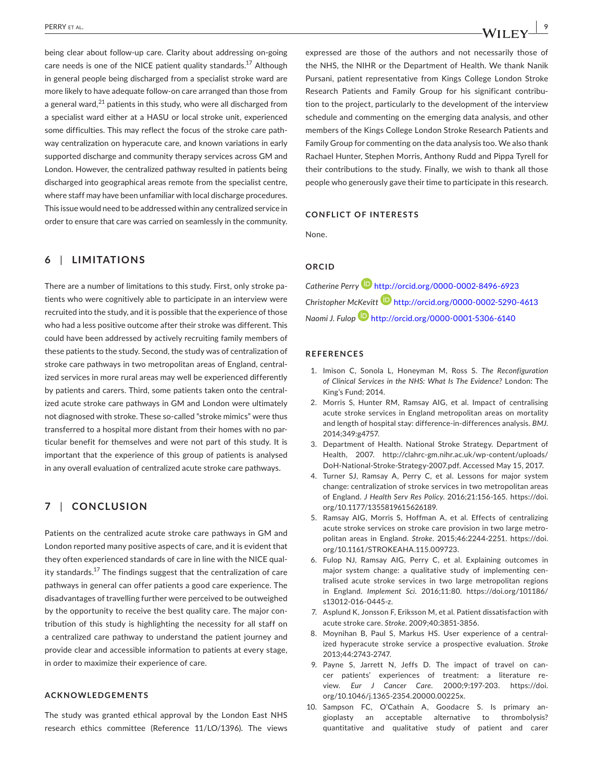being clear about follow-up care. Clarity about addressing on-going care needs is one of the NICE patient quality standards.<sup>17</sup> Although in general people being discharged from a specialist stroke ward are more likely to have adequate follow-on care arranged than those from a general ward, $^{21}$  patients in this study, who were all discharged from a specialist ward either at a HASU or local stroke unit, experienced some difficulties. This may reflect the focus of the stroke care pathway centralization on hyperacute care, and known variations in early supported discharge and community therapy services across GM and London. However, the centralized pathway resulted in patients being discharged into geographical areas remote from the specialist centre, where staff may have been unfamiliar with local discharge procedures. This issue would need to be addressed within any centralized service in order to ensure that care was carried on seamlessly in the community.

## **6** | **LIMITATIONS**

There are a number of limitations to this study. First, only stroke patients who were cognitively able to participate in an interview were recruited into the study, and it is possible that the experience of those who had a less positive outcome after their stroke was different. This could have been addressed by actively recruiting family members of these patients to the study. Second, the study was of centralization of stroke care pathways in two metropolitan areas of England, centralized services in more rural areas may well be experienced differently by patients and carers. Third, some patients taken onto the centralized acute stroke care pathways in GM and London were ultimately not diagnosed with stroke. These so-called "stroke mimics" were thus transferred to a hospital more distant from their homes with no particular benefit for themselves and were not part of this study. It is important that the experience of this group of patients is analysed in any overall evaluation of centralized acute stroke care pathways.

# **7** | **CONCLUSION**

Patients on the centralized acute stroke care pathways in GM and London reported many positive aspects of care, and it is evident that they often experienced standards of care in line with the NICE quality standards.<sup>17</sup> The findings suggest that the centralization of care pathways in general can offer patients a good care experience. The disadvantages of travelling further were perceived to be outweighed by the opportunity to receive the best quality care. The major contribution of this study is highlighting the necessity for all staff on a centralized care pathway to understand the patient journey and provide clear and accessible information to patients at every stage, in order to maximize their experience of care.

## **ACKNOWLEDGEMENTS**

The study was granted ethical approval by the London East NHS research ethics committee (Reference 11/LO/1396). The views

expressed are those of the authors and not necessarily those of the NHS, the NIHR or the Department of Health. We thank Nanik Pursani, patient representative from Kings College London Stroke Research Patients and Family Group for his significant contribution to the project, particularly to the development of the interview schedule and commenting on the emerging data analysis, and other members of the Kings College London Stroke Research Patients and Family Group for commenting on the data analysis too. We also thank Rachael Hunter, Stephen Morris, Anthony Rudd and Pippa Tyrell for their contributions to the study. Finally, we wish to thank all those people who generously gave their time to participate in this research.

#### **CONFLICT OF INTERESTS**

None.

## **ORCID**

*Catherine Perr[y](http://orcid.org/0000-0002-8496-6923)* <http://orcid.org/0000-0002-8496-6923> *Christopher McKevitt* <http://orcid.org/0000-0002-5290-4613> *Naomi J. Fulo[p](http://orcid.org/0000-0001-5306-6140)* <http://orcid.org/0000-0001-5306-6140>

#### **REFERENCES**

- 1. Imison C, Sonola L, Honeyman M, Ross S. *The Reconfiguration of Clinical Services in the NHS: What Is The Evidence?* London: The King's Fund; 2014.
- 2. Morris S, Hunter RM, Ramsay AIG, et al. Impact of centralising acute stroke services in England metropolitan areas on mortality and length of hospital stay: difference-in-differences analysis. *BMJ*. 2014;349:g4757.
- 3. Department of Health. National Stroke Strategy. Department of Health, 2007. [http://clahrc-gm.nihr.ac.uk/wp-content/uploads/](http://clahrc-gm.nihr.ac.uk/wp-content/uploads/DoH-National-Stroke-Strategy-2007.pdf) [DoH-National-Stroke-Strategy-2007.pdf.](http://clahrc-gm.nihr.ac.uk/wp-content/uploads/DoH-National-Stroke-Strategy-2007.pdf) Accessed May 15, 2017.
- 4. Turner SJ, Ramsay A, Perry C, et al. Lessons for major system change: centralization of stroke services in two metropolitan areas of England. *J Health Serv Res Policy*. 2016;21:156-165. [https://doi.](https://doi.org/10.1177/1355819615626189) [org/10.1177/1355819615626189](https://doi.org/10.1177/1355819615626189).
- 5. Ramsay AIG, Morris S, Hoffman A, et al. Effects of centralizing acute stroke services on stroke care provision in two large metropolitan areas in England. *Stroke*. 2015;46:2244-2251. [https://doi.](https://doi.org/10.1161/STROKEAHA.115.009723) [org/10.1161/STROKEAHA.115.009723.](https://doi.org/10.1161/STROKEAHA.115.009723)
- 6. Fulop NJ, Ramsay AIG, Perry C, et al. Explaining outcomes in major system change: a qualitative study of implementing centralised acute stroke services in two large metropolitan regions in England. *Implement Sci*. 2016;11:80. [https://doi.org/101186/](https://doi.org/101186/s13012-016-0445-z) [s13012-016-0445-z.](https://doi.org/101186/s13012-016-0445-z)
- 7. Asplund K, Jonsson F, Eriksson M, et al. Patient dissatisfaction with acute stroke care. *Stroke*. 2009;40:3851-3856.
- 8. Moynihan B, Paul S, Markus HS. User experience of a centralized hyperacute stroke service a prospective evaluation. *Stroke* 2013;44:2743-2747.
- 9. Payne S, Jarrett N, Jeffs D. The impact of travel on cancer patients' experiences of treatment: a literature review. *Eur J Cancer Care*. 2000;9:197-203. [https://doi.](https://doi.org/10.1046/j.1365-2354.20000.00225x) [org/10.1046/j.1365-2354.20000.00225x](https://doi.org/10.1046/j.1365-2354.20000.00225x).
- 10. Sampson FC, O'Cathain A, Goodacre S. Is primary angioplasty an acceptable alternative to thrombolysis? quantitative and qualitative study of patient and carer